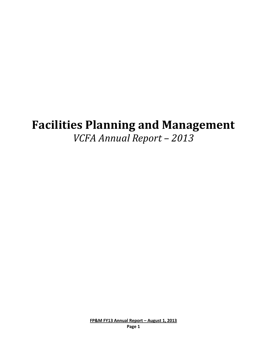# **Facilities Planning and Management** *VCFA Annual Report – 2013*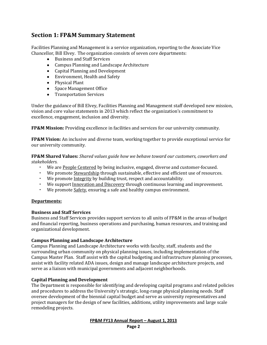# **Section 1: FP&M Summary Statement**

Facilities Planning and Management is a service organization, reporting to the Associate Vice Chancellor, Bill Elvey. The organization consists of seven core departments:

- Business and Staff Services
- Campus Planning and Landscape Architecture
- Capital Planning and Development
- Environment, Health and Safety
- Physical Plant
- Space Management Office
- Transportation Services

Under the guidance of Bill Elvey, Facilities Planning and Management staff developed new mission, vision and core value statements in 2013 which reflect the organization's commitment to excellence, engagement, inclusion and diversity.

**FP&M Mission:** Providing excellence in facilities and services for our university community.

**FP&M Vision:** An inclusive and diverse team, working together to provide exceptional service for our university community.

**FP&M Shared Values:** *Shared values guide how we behave toward our customers, coworkers and stakeholders.*

- We are People Centered by being inclusive, engaged, diverse and customer-focused.
- We promote **Stewardship** through sustainable, effective and efficient use of resources.
- We promote Integrity by building trust, respect and accountability.
- We support Innovation and Discovery through continuous learning and improvement.
- We promote Safety, ensuring a safe and healthy campus environment.

#### **Departments:**

#### **Business and Staff Services**

Business and Staff Services provides support services to all units of FP&M in the areas of budget and financial reporting, business operations and purchasing, human resources, and training and organizational development.

#### **Campus Planning and Landscape Architecture**

Campus Planning and Landscape Architecture works with faculty, staff, students and the surrounding urban community on physical planning issues, including implementation of the Campus Master Plan. Staff assist with the capital budgeting and infrastructure planning processes, assist with facility related ADA issues, design and manage landscape architecture projects, and serve as a liaison with municipal governments and adjacent neighborhoods.

#### **Capital Planning and Development**

The Department is responsible for identifying and developing capital programs and related policies and procedures to address the University's strategic, long-range physical planning needs. Staff oversee development of the biennial capital budget and serve as university representatives and project managers for the design of new facilities, additions, utility improvements and large scale remodeling projects.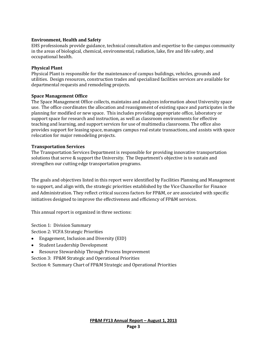#### **Environment, Health and Safety**

EHS professionals provide guidance, technical consultation and expertise to the campus community in the areas of biological, chemical, environmental, radiation, lake, fire and life safety, and occupational health.

#### **Physical Plant**

Physical Plant is responsible for the maintenance of campus buildings, vehicles, grounds and utilities. Design resources, construction trades and specialized facilities services are available for departmental requests and remodeling projects.

#### **Space Management Office**

The Space Management Office collects, maintains and analyzes information about University space use. The office coordinates the allocation and reassignment of existing space and participates in the planning for modified or new space. This includes providing appropriate office, laboratory or support space for research and instruction, as well as classroom environments for effective teaching and learning, and support services for use of multimedia classrooms. The office also provides support for leasing space, manages campus real estate transactions, and assists with space relocation for major remodeling projects.

#### **Transportation Services**

The Transportation Services Department is responsible for providing innovative transportation solutions that serve & support the University. The Department's objective is to sustain and strengthen our cutting edge transportation programs.

The goals and objectives listed in this report were identified by Facilities Planning and Management to support, and align with, the strategic priorities established by the Vice Chancellor for Finance and Administration. They reflect critical success factors for FP&M, or are associated with specific initiatives designed to improve the effectiveness and efficiency of FP&M services.

This annual report is organized in three sections:

Section 1: Division Summary

Section 2: VCFA Strategic Priorities

- Engagement, Inclusion and Diversity (EID)
- $\bullet$ Student Leadership Development
- Resource Stewardship Through Process Improvement  $\bullet$
- Section 3: FP&M Strategic and Operational Priorities

Section 4: Summary Chart of FP&M Strategic and Operational Priorities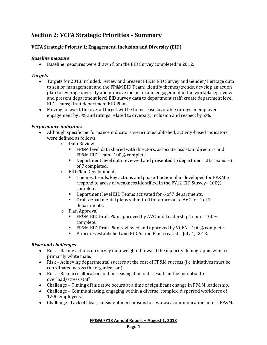# **Section 2: VCFA Strategic Priorities – Summary**

# **VCFA Strategic Priority 1: Engagement, Inclusion and Diversity (EID)**

#### *Baseline measure*

Baseline measures were drawn from the EID Survey completed in 2012.

#### *Targets*

- Targets for 2013 included: review and present FP&M EID Survey and Gender/Heritage data  $\bullet$ to senior management and the FP&M EID Team; identify themes/trends, develop an action plan to leverage diversity and improve inclusion and engagement in the workplace; review and present department level EID survey data to department staff; create department level EID Teams; draft department EID Plans.
- Moving forward, the overall target will be to increase favorable ratings in employee engagement by 5% and ratings related to diversity, inclusion and respect by 2%.

#### *Performance indicators*

- Although specific performance indicators were not established, activity-based indicators were defined as follows:
	- o Data Review
		- FP&M level data shared with directors, associate, assistant directors and FP&M EID Team– 100% complete.
		- Department level data reviewed and presented to department EID Teams 6 of 7 completed.
	- o EID Plan Development
		- **Themes, trends, key actions and phase 1 action plan developed for FP&M to** respond to areas of weakness identified in the FY12 EID Survey– 100% complete.
		- Department level EID Teams activated for 6 of 7 departments.
		- **•** Draft departmental plans submitted for approval to AVC for 4 of 7 departments.
	- o Plan Approval
		- **FP&M EID Draft Plan approved by AVC and Leadership Team 100%** complete.
		- **FP&M EID Draft Plan reviewed and approved by VCFA 100% complete.**
		- **Priorities established and EID Action Plan created July 1, 2013.**

#### *Risks and challenges*

- Risk Basing actions on survey data weighted toward the majority demographic which is primarily white male.
- Risk Achieving departmental success at the cost of FP&M success (i.e. initiatives must be coordinated across the organization).
- Risk Resource allocation and increasing demands results in the potential to overload/stress staff.
- Challenge Timing of initiative occurs at a time of significant change in FP&M leadership.
- Challenge Communicating, engaging within a diverse, complex, dispersed workforce of 1200 employees.
- Challenge Lack of clear, consistent mechanisms for two way communication across FP&M.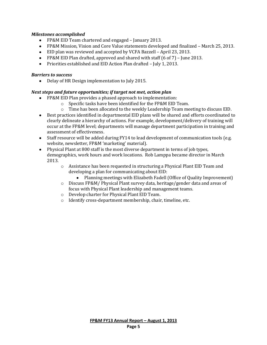# *Milestones accomplished*

- FP&M EID Team chartered and engaged January 2013.
- FP&M Mission, Vision and Core Value statements developed and finalized March 25, 2013.
- EID plan was reviewed and accepted by VCFA Bazzell April 23, 2013.
- FP&M EID Plan drafted, approved and shared with staff (6 of 7) June 2013.
- Priorities established and EID Action Plan drafted July 1, 2013.

#### *Barriers to success*

Delay of HR Design implementation to July 2015.  $\bullet$ 

# *Next steps and future opportunities; if target not met, action plan*

- FP&M EID Plan provides a phased approach to implementation:
	- o Specific tasks have been identified for the FP&M EID Team.
	- $\circ$  Time has been allocated to the weekly Leadership Team meeting to discuss EID.
- Best practices identified in departmental EID plans will be shared and efforts coordinated to clearly delineate a hierarchy of actions. For example, development/delivery of training will occur at the FP&M level; departments will manage department participation in training and assessment of effectiveness.
- Staff resource will be added during FY14 to lead development of communication tools (e.g. website, newsletter, FP&M 'marketing' material).
- Physical Plant at 800 staff is the most diverse department in terms of job types, demographics, work hours and work locations. Rob Lamppa became director in March 2013.
	- o Assistance has been requested in structuring a Physical Plant EID Team and developing a plan for communicating about EID:
		- Planning meetings with Elizabeth Fadell (Office of Quality Improvement)
	- o Discuss FP&M/ Physical Plant survey data, heritage/gender data and areas of focus with Physical Plant leadership and management teams.
	- o Develop charter for Physical Plant EID Team.
	- o Identify cross-department membership, chair, timeline, etc.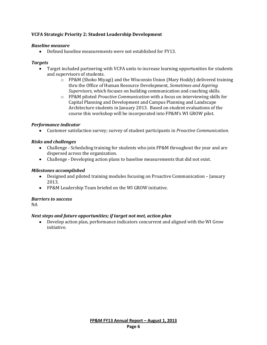# **VCFA Strategic Priority 2: Student Leadership Development**

#### *Baseline measure*

Defined baseline measurements were not established for FY13.

#### *Targets*

- Target included partnering with VCFA units to increase learning opportunities for students and supervisors of students.
	- $\circ$  FP&M (Shoko Miyagi) and the Wisconsin Union (Mary Hoddy) delivered training thru the Office of Human Resource Development, *Sometimes and Aspiring Supervisors,* which focuses on building communication and coaching skills.
	- o FP&M piloted *Proactive Communication* with a focus on interviewing skills for Capital Planning and Development and Campus Planning and Landscape Architecture students in January 2013. Based on student evaluations of the course this workshop will be incorporated into FP&M's WI GROW pilot.

#### *Performance indicator*

Customer satisfaction survey; survey of student participants in *Proactive Communication.*

#### *Risks and challenges*

- Challenge Scheduling training for students who join FP&M throughout the year and are dispersed across the organization.
- Challenge Developing action plans to baseline measurements that did not exist.

#### *Milestones accomplished*

- Designed and piloted training modules focusing on Proactive Communication January 2013.
- FP&M Leadership Team briefed on the WI GROW initiative.

#### *Barriers to success*

NA

#### *Next steps and future opportunities; if target not met, action plan*

Develop action plan, performance indicators concurrent and aligned with the WI Grow initiative.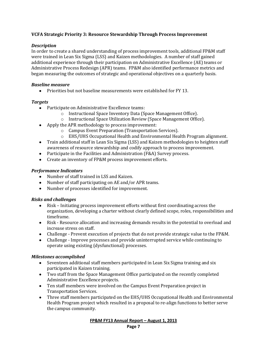# **VCFA Strategic Priority 3: Resource Stewardship Through Process Improvement**

# *Description*

In order to create a shared understanding of process improvement tools, additional FP&M staff were trained in Lean Six Sigma (LSS) and Kaizen methodologies. A number of staff gained additional experience through their participation on Administrative Excellence (AE) teams or Administrative Process Redesign (APR) teams. FP&M also identified performance metrics and began measuring the outcomes of strategic and operational objectives on a quarterly basis.

# *Baseline measure*

• Priorities but not baseline measurements were established for FY 13.

# *Targets*

- Participate on Administrative Excellence teams:
	- o Instructional Space Inventory Data (Space Management Office).
	- o Instructional Space Utilization Review (Space Management Office).
- Apply the APR methodology to process improvement:
	- o Campus Event Preparation (Transportation Services).
	- o EHS/UHS Occupational Health and Environmental Health Program alignment.
- Train additional staff in Lean Six Sigma (LSS) and Kaizen methodologies to heighten staff awareness of resource stewardship and codify approach to process improvement.
- Participate in the Facilities and Administration (F&A) Survey process.
- Create an inventory of FP&M process improvement efforts.

# *Performance Indicators*

- Number of staff trained in LSS and Kaizen.
- Number of staff participating on AE and/or APR teams.
- Number of processes identified for improvement.

#### *Risks and challenges*

- Risk Initiating process improvement efforts without first coordinating across the  $\bullet$ organization, developing a charter without clearly defined scope, roles, responsibilities and timeframe.
- Risk Resource allocation and increasing demands results in the potential to overload and increase stress on staff.
- Challenge Prevent execution of projects that do not provide strategic value to the FP&M.
- Challenge Improve processes and provide uninterrupted service while continuing to operate using existing (dysfunctional) processes.

#### *Milestones accomplished*

- Seventeen additional staff members participated in Lean Six Sigma training and six participated in Kaizen training.
- Two staff from the Space Management Office participated on the recently completed Administrative Excellence projects.
- Ten staff members were involved on the Campus Event Preparation project in Transportation Services.
- Three staff members participated on the EHS/UHS Occupational Health and Environmental Health Program project which resulted in a proposal to re-align functions to better serve the campus community.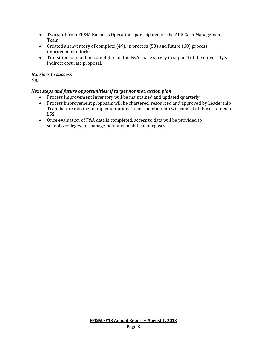- Two staff from FP&M Business Operations participated on the APR Cash Management Team.
- Created an inventory of complete (49), in process (53) and future (60) process improvement efforts.
- Transitioned to online completion of the F&A space survey in support of the university's indirect cost rate proposal.

# *Barriers to success*

NA

# *Next steps and future opportunities; if target not met, action plan*

- Process Improvement Inventory will be maintained and updated quarterly.
- Process improvement proposals will be chartered, resourced and approved by Leadership Team before moving to implementation. Team membership will consist of those trained in LSS.
- Once evaluation of F&A data is completed, access to data will be provided to schools/colleges for management and analytical purposes.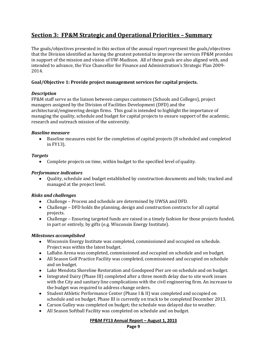# **Section 3: FP&M Strategic and Operational Priorities – Summary**

The goals/objectives presented in this section of the annual report represent the goals/objectives that the Division identified as having the greatest potential to improve the services FP&M provides in support of the mission and vision of UW-Madison. All of these goals are also aligned with, and intended to advance, the Vice Chancellor for Finance and Administration's Strategic Plan 2009- 2014.

# **Goal/Objective 1: Provide project management services for capital projects.**

#### *Description*

FP&M staff serve as the liaison between campus customers (Schools and Colleges), project managers assigned by the Division of Facilities Development (DFD) and the architectural/engineering design firms. This goal is intended to highlight the importance of managing the quality, schedule and budget for capital projects to ensure support of the academic, research and outreach mission of the university.

#### *Baseline measure*

Baseline measures exist for the completion of capital projects (8 scheduled and completed in FY13).

#### *Targets*

Complete projects on time, within budget to the specified level of quality.

#### *Performance indicators*

Quality, schedule and budget established by construction documents and bids; tracked and managed at the project level.

#### *Risks and challenges*

- Challenge Process and schedule are determined by UWSA and DFD.
- Challenge DFD holds the planning, design and construction contracts for all capital projects.
- Challenge Ensuring targeted funds are raised in a timely fashion for those projects funded, in part or entirely, by gifts (e.g. Wisconsin Energy Institute).

#### *Milestones accomplished*

- Wisconsin Energy Institute was completed, commissioned and occupied on schedule. Project was within the latest budget.
- LaBahn Arena was completed, commissioned and occupied on schedule and on budget.
- All Season Golf Practice Facility was completed, commissioned and occupied on schedule and on budget.
- Lake Mendota Shoreline Restoration and Goodspeed Pier are on schedule and on budget.
- Integrated Dairy (Phase III) completed after a three month delay due to site work issues with the City and sanitary line complications with the civil engineering firm. An increase to the budget was required to address change orders.
- Student Athletic Performance Center (Phase I & II) was completed and occupied on schedule and on budget. Phase III is currently on track to be completed December 2013.
- Carson Gulley was completed on budget; the schedule was delayed due to weather.
- All Season Softball Facility was completed on schedule and on budget.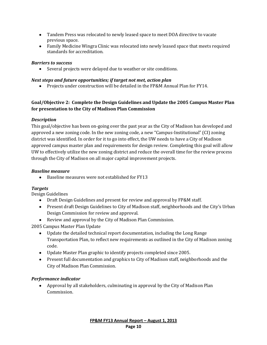- Tandem Press was relocated to newly leased space to meet DOA directive to vacate previous space.
- Family Medicine Wingra Clinic was relocated into newly leased space that meets required standards for accreditation.

# *Barriers to success*

Several projects were delayed due to weather or site conditions.

# *Next steps and future opportunities; if target not met, action plan*

Projects under construction will be detailed in the FP&M Annual Plan for FY14.

# **Goal/Objective 2: Complete the Design Guidelines and Update the 2005 Campus Master Plan for presentation to the City of Madison Plan Commission**

# *Description*

This goal/objective has been on-going over the past year as the City of Madison has developed and approved a new zoning code. In the new zoning code, a new "Campus-Institutional" (CI) zoning district was identified. In order for it to go into effect, the UW needs to have a City of Madison approved campus master plan and requirements for design review. Completing this goal will allow UW to effectively utilize the new zoning district and reduce the overall time for the review process through the City of Madison on all major capital improvement projects.

# *Baseline measure*

Baseline measures were not established for FY13  $\bullet$ 

#### *Targets*

Design Guidelines

- Draft Design Guidelines and present for review and approval by FP&M staff.
- Present draft Design Guidelines to City of Madison staff, neighborhoods and the City's Urban Design Commission for review and approval.
- Review and approval by the City of Madison Plan Commission.

2005 Campus Master Plan Update

- Update the detailed technical report documentation, including the Long Range Transportation Plan, to reflect new requirements as outlined in the City of Madison zoning code.
- Update Master Plan graphic to identify projects completed since 2005.
- Present full documentation and graphics to City of Madison staff, neighborhoods and the City of Madison Plan Commission.

# *Performance indicator*

Approval by all stakeholders, culminating in approval by the City of Madison Plan Commission.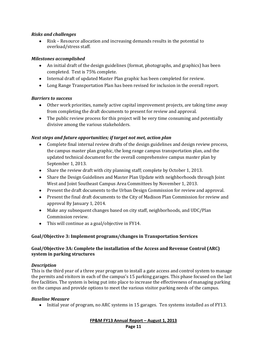# *Risks and challenges*

Risk – Resource allocation and increasing demands results in the potential to overload/stress staff.

# *Milestones accomplished*

- An initial draft of the design guidelines (format, photographs, and graphics) has been completed. Text is 75% complete.
- Internal draft of updated Master Plan graphic has been completed for review.
- Long Range Transportation Plan has been revised for inclusion in the overall report.

# *Barriers to success*

- Other work priorities, namely active capital improvement projects, are taking time away from completing the draft documents to present for review and approval.
- The public review process for this project will be very time consuming and potentially divisive among the various stakeholders.

# *Next steps and future opportunities; if target not met, action plan*

- Complete final internal review drafts of the design guidelines and design review process, the campus master plan graphic, the long range campus transportation plan, and the updated technical document for the overall comprehensive campus master plan by September 1, 2013.
- Share the review draft with city planning staff; complete by October 1, 2013.
- Share the Design Guidelines and Master Plan Update with neighborhoods through Joint West and Joint Southeast Campus Area Committees by November 1, 2013.
- Present the draft documents to the Urban Design Commission for review and approval.
- Present the final draft documents to the City of Madison Plan Commission for review and approval By January 1, 2014.
- Make any subsequent changes based on city staff, neighborhoods, and UDC/Plan Commission review.
- This will continue as a goal/objective in FY14.

# **Goal/Objective 3: Implement programs/changes in Transportation Services**

# **Goal/Objective 3A: Complete the installation of the Access and Revenue Control (ARC) system in parking structures**

#### *Description*

This is the third year of a three year program to install a gate access and control system to manage the permits and visitors in each of the campus's 15 parking garages. This phase focused on the last five facilities. The system is being put into place to increase the effectiveness of managing parking on the campus and provide options to meet the various visitor parking needs of the campus.

#### *Baseline Measure*

• Initial year of program, no ARC systems in 15 garages. Ten systems installed as of FY13.

**FP&M FY13 Annual Report – August 1, 2013 Page 11**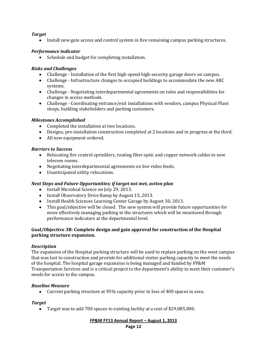# *Target*

 $\bullet$ Install new gate access and control system in five remaining campus parking structures.

# *Performance indicator*

• Schedule and budget for completing installation.

# *Risks and Challenges*

- Challenge Installation of the first high-speed high-security garage doors on campus.
- Challenge Infrastructure changes to occupied buildings to accommodate the new ARC systems.
- Challenge Negotiating interdepartmental agreements on roles and responsibilities for changes in access methods.
- Challenge Coordinating entrance/exit installations with vendors, campus Physical Plant shops, building stakeholders and parking customers.

# *Milestones Accomplished*

- Completed the installation at two locations.
- Designs, pre-installation construction completed at 2 locations and in progress at the third.
- All new equipment ordered.

# *Barriers to Success*

- Relocating fire control sprinklers, routing fiber optic and copper network cables to new telecom rooms.
- Negotiating interdepartmental agreements on live video feeds.
- Unanticipated utility relocations.

#### *Next Steps and Future Opportunities; if target not met, action plan*

- Install Microbial Science on July 29, 2013.
- Install Observatory Drive Ramp by August 15, 2013.
- Install Health Sciences Learning Center Garage by August 30, 2013.
- This goal/objective will be closed. The new system will provide future opportunities for more effectively managing parking in the structures which will be monitored through performance indicators at the departmental level.

#### **Goal/Objective 3B: Complete design and gain approval for construction of the Hospital parking structure expansion.**

#### *Description*

The expansion of the Hospital parking structure will be used to replace parking on the west campus that was lost to construction and provide for additional visitor parking capacity to meet the needs of the hospital. The hospital garage expansion is being managed and funded by FP&M Transportation Services and is a critical project to the department's ability to meet their customer's needs for access to the campus.

#### *Baseline Measure*

Current parking structure at 95% capacity prior to loss of 400 spaces in area.

#### *Target*

Target was to add 700 spaces to existing facility at a cost of \$29,085,000.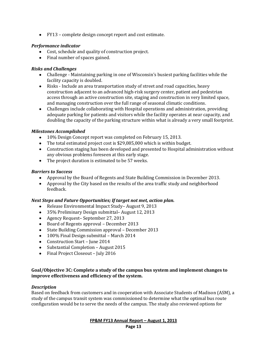FY13 – complete design concept report and cost estimate.

# *Performance indicator*

- Cost, schedule and quality of construction project.
- Final number of spaces gained.

# *Risks and Challenges*

- Challenge Maintaining parking in one of Wisconsin's busiest parking facilities while the facility capacity is doubled.
- Risks Include an area transportation study of street and road capacities, heavy construction adjacent to an advanced high-risk surgery center, patient and pedestrian access through an active construction site, staging and construction in very limited space, and managing construction over the full range of seasonal climatic conditions.
- Challenges include collaborating with Hospital operations and administration, providing adequate parking for patients and visitors while the facility operates at near capacity, and doubling the capacity of the parking structure within what is already a very small footprint.

#### *Milestones Accomplished*

- 10% Design Concept report was completed on February 15, 2013.
- The total estimated project cost is \$29,085,000 which is within budget.
- Construction staging has been developed and presented to Hospital administration without any obvious problems foreseen at this early stage.
- The project duration is estimated to be 57 weeks.

# *Barriers to Success*

- Approval by the Board of Regents and State Building Commission in December 2013.
- Approval by the City based on the results of the area traffic study and neighborhood feedback.

#### *Next Steps and Future Opportunities; If target not met, action plan.*

- Release Environmental Impact Study-August 9, 2013
- 35% Preliminary Design submittal– August 12, 2013
- Agency Request– September 27, 2013
- Board of Regents approval December 2013
- State Building Commission approval December 2013
- 100% Final Design submittal March 2014
- Construction Start June 2014
- Substantial Completion August 2015
- Final Project Closeout July 2016

#### **Goal/Objective 3C: Complete a study of the campus bus system and implement changes to improve effectiveness and efficiency of the system.**

#### *Description*

Based on feedback from customers and in cooperation with Associate Students of Madison (ASM), a study of the campus transit system was commissioned to determine what the optimal bus route configuration would be to serve the needs of the campus. The study also reviewed options for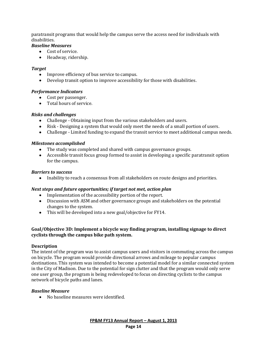paratransit programs that would help the campus serve the access need for individuals with disabilities.

# *Baseline Measures*

- Cost of service.
- Headway, ridership.

#### *Target*

- Improve efficiency of bus service to campus.
- Develop transit option to improve accessibility for those with disabilities.

#### *Performance Indicators*

- Cost per passenger.
- Total hours of service.

#### *Risks and challenges*

- Challenge Obtaining input from the various stakeholders and users.
- Risk Designing a system that would only meet the needs of a small portion of users.
- Challenge Limited funding to expand the transit service to meet additional campus needs.

#### *Milestones accomplished*

- The study was completed and shared with campus governance groups.
- Accessible transit focus group formed to assist in developing a specific paratransit option for the campus.

#### *Barriers to success*

• Inability to reach a consensus from all stakeholders on route designs and priorities.

#### *Next steps and future opportunities; if target not met, action plan*

- Implementation of the accessibility portion of the report.
- Discussion with ASM and other governance groups and stakeholders on the potential changes to the system.
- This will be developed into a new goal/objective for FY14.

#### **Goal/Objective 3D: Implement a bicycle way finding program, installing signage to direct cyclists through the campus bike path system.**

#### **Description**

The intent of the program was to assist campus users and visitors in commuting across the campus on bicycle. The program would provide directional arrows and mileage to popular campus destinations. This system was intended to become a potential model for a similar connected system in the City of Madison. Due to the potential for sign clutter and that the program would only serve one user group, the program is being redeveloped to focus on directing cyclists to the campus network of bicycle paths and lanes.

#### *Baseline Measure*

No baseline measures were identified.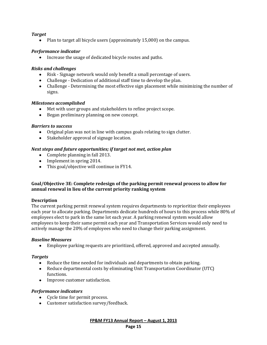# *Target*

 $\bullet$ Plan to target all bicycle users (approximately 15,000) on the campus.

# *Performance indicator*

• Increase the usage of dedicated bicycle routes and paths.

# *Risks and challenges*

- Risk Signage network would only benefit a small percentage of users.
- Challenge Dedication of additional staff time to develop the plan.
- Challenge Determining the most effective sign placement while minimizing the number of signs.

#### *Milestones accomplished*

- Met with user groups and stakeholders to refine project scope.
- Began preliminary planning on new concept.

# *Barriers to success*

- Original plan was not in line with campus goals relating to sign clutter.
- Stakeholder approval of signage location.

# *Next steps and future opportunities; if target not met, action plan*

- Complete planning in fall 2013.
- Implement in spring 2014.
- This goal/objective will continue in FY14.

#### **Goal/Objective 3E: Complete redesign of the parking permit renewal process to allow for annual renewal in lieu of the current priority ranking system**

#### **Description**

The current parking permit renewal system requires departments to reprioritize their employees each year to allocate parking. Departments dedicate hundreds of hours to this process while 80% of employees elect to park in the same lot each year. A parking renewal system would allow employees to keep their same permit each year and Transportation Services would only need to actively manage the 20% of employees who need to change their parking assignment.

#### *Baseline Measures*

Employee parking requests are prioritized, offered, approved and accepted annually.

#### *Targets*

- Reduce the time needed for individuals and departments to obtain parking.
- Reduce departmental costs by eliminating Unit Transportation Coordinator (UTC) functions.
- Improve customer satisfaction.

# *Performance indicators*

- Cycle time for permit process.
- Customer satisfaction survey/feedback.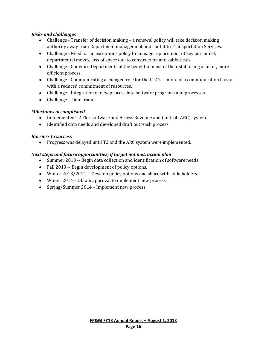# *Risks and challenges*

- Challenge Transfer of decision making a renewal policy will take decision making authority away from Department management and shift it to Transportation Services.
- Challenge Need for an exceptions policy to manage replacement of key personnel, departmental moves, loss of space due to construction and sabbaticals.
- Challenge Convince Departments of the benefit of most of their staff using a faster, more efficient process.
- Challenge Communicating a changed role for the UTC's -- more of a communication liaison with a reduced commitment of resources.
- Challenge Integration of new process into software programs and processes.
- Challenge Time frame.

# *Milestones accomplished*

- Implemented T2 Flex software and Access Revenue and Control (ARC) system.
- Identified data needs and developed draft outreach process.

#### *Barriers to success*

Progress was delayed until T2 and the ARC system were implemented.

#### *Next steps and future opportunities; if target not met, action plan*

- Summer 2013 -- Begin data collection and identification of software needs.
- Fall 2013 -- Begin development of policy options.
- Winter 2013/2014 -- Develop policy options and share with stakeholders.
- Winter 2014 Obtain approval to implement new process.
- Spring/Summer 2014 Implement new process.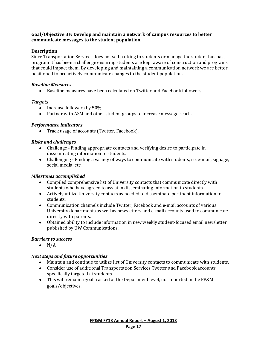#### **Goal/Objective 3F: Develop and maintain a network of campus resources to better communicate messages to the student population.**

#### **Description**

Since Transportation Services does not sell parking to students or manage the student bus pass program it has been a challenge ensuring students are kept aware of construction and programs that could impact them. By developing and maintaining a communication network we are better positioned to proactively communicate changes to the student population.

#### *Baseline Measures*

Baseline measures have been calculated on Twitter and Facebook followers.

#### *Targets*

- Increase followers by 50%.
- Partner with ASM and other student groups to increase message reach.

#### *Performance indicators*

Track usage of accounts (Twitter, Facebook).

#### *Risks and challenges*

- Challenge Finding appropriate contacts and verifying desire to participate in disseminating information to students.
- Challenging Finding a variety of ways to communicate with students, i.e. e-mail, signage, social media, etc.

#### *Milestones accomplished*

- Compiled comprehensive list of University contacts that communicate directly with students who have agreed to assist in disseminating information to students.
- Actively utilize University contacts as needed to disseminate pertinent information to students.
- Communication channels include Twitter, Facebook and e-mail accounts of various University departments as well as newsletters and e-mail accounts used to communicate directly with parents.
- Obtained ability to include information in new weekly student-focused email newsletter published by UW Communications.

#### *Barriers to success*

 $\bullet$  N/A

#### *Next steps and future opportunities*

- Maintain and continue to utilize list of University contacts to communicate with students.
- Consider use of additional Transportation Services Twitter and Facebook accounts specifically targeted at students.
- This will remain a goal tracked at the Department level, not reported in the FP&M goals/objectives.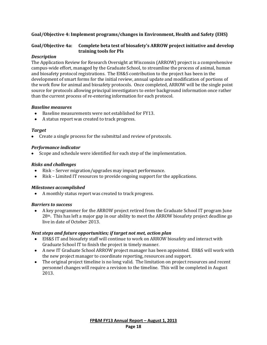# **Goal/Objective 4: Implement programs/changes in Environment, Health and Safety (EHS)**

#### **Goal/Objective 4a: Complete beta test of biosafety's ARROW project initiative and develop training tools for PIs**

#### *Description*

The Application Review for Research Oversight at Wisconsin (ARROW) project is a comprehensive campus-wide effort, managed by the Graduate School, to streamline the process of animal, human and biosafety protocol registrations. The EH&S contribution to the project has been in the development of smart forms for the initial review, annual update and modification of portions of the work flow for animal and biosafety protocols. Once completed, ARROW will be the single point source for protocols allowing principal investigators to enter background information once rather than the current process of re-entering information for each protocol.

#### *Baseline measures*

- Baseline measurements were not established for FY13.  $\bullet$
- A status report was created to track progress.

#### *Target*

• Create a single process for the submittal and review of protocols.

#### *Performance indicator*

Scope and schedule were identified for each step of the implementation.

#### *Risks and challenges*

- Risk Server migration/upgrades may impact performance.
- $\bullet$ Risk – Limited IT resources to provide ongoing support for the applications.

#### *Milestones accomplished*

A monthly status report was created to track progress.

#### *Barriers to success*

A key programmer for the ARROW project retired from the Graduate School IT program June  $\bullet$  $28<sup>th</sup>$ . This has left a major gap in our ability to meet the ARROW biosafety project deadline go live in date of October 2013.

#### *Next steps and future opportunities; if target not met, action plan*

- EH&S IT and biosafety staff will continue to work on ARROW biosafety and interact with Graduate School IT to finish the project in timely manner.
- A new IT Graduate School ARROW project manager has been appointed. EH&S will work with the new project manager to coordinate reporting, resources and support.
- The original project timeline is no long valid. The limitation on project resources and recent personnel changes will require a revision to the timeline. This will be completed in August 2013.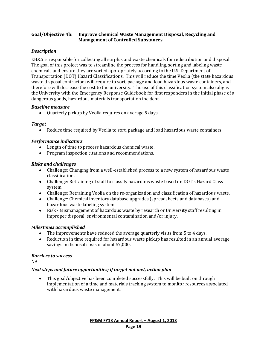#### **Goal/Objective 4b: Improve Chemical Waste Management Disposal, Recycling and Management of Controlled Substances**

# *Description*

EH&S is responsible for collecting all surplus and waste chemicals for redistribution and disposal. The goal of this project was to streamline the process for handling, sorting and labeling waste chemicals and ensure they are sorted appropriately according to the U.S. Department of Transportation (DOT) Hazard Classifications. This will reduce the time Veolia (the state hazardous waste disposal contractor) will require to sort, package and load hazardous waste containers, and therefore will decrease the cost to the university. The use of this classification system also aligns the University with the Emergency Response Guidebook for first responders in the initial phase of a dangerous goods, hazardous materials transportation incident.

#### *Baseline measure*

 $\bullet$ Quarterly pickup by Veolia requires on average 5 days.

#### *Target*

 $\bullet$ Reduce time required by Veolia to sort, package and load hazardous waste containers.

#### *Performance indicators*

- Length of time to process hazardous chemical waste.
- Program inspection citations and recommendations.

#### *Risks and challenges*

- Challenge: Changing from a well-established process to a new system of hazardous waste classification.
- Challenge: Retraining of staff to classify hazardous waste based on DOT's Hazard Class system.
- Challenge: Retraining Veolia on the re-organization and classification of hazardous waste.
- Challenge: Chemical inventory database upgrades (spreadsheets and databases) and hazardous waste labeling system.
- Risk Mismanagement of hazardous waste by research or University staff resulting in improper disposal, environmental contamination and/or injury.

#### *Milestones accomplished*

- The improvements have reduced the average quarterly visits from 5 to 4 days.
- Reduction in time required for hazardous waste pickup has resulted in an annual average savings in disposal costs of about \$7,000.

#### *Barriers to success*

NA

#### *Next steps and future opportunities; if target not met, action plan*

This goal/objective has been completed successfully. This will be built on through implementation of a time and materials tracking system to monitor resources associated with hazardous waste management.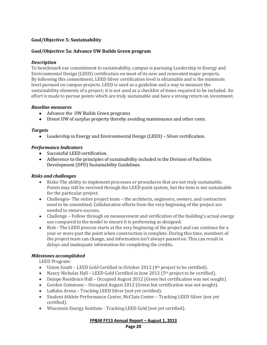# **Goal/Objective 5: Sustainability**

#### **Goal/Objective 5a: Advance UW Builds Green program**

#### *Description*

To benchmark our commitment to sustainability, campus is pursuing Leadership in Energy and Environmental Design (LEED) certification on most of its new and renovated major projects. By following this commitment, LEED Silver certification level is obtainable and is the minimum level pursued on campus projects. LEED is used as a guideline and a way to measure the sustainability elements of a project; it is not used as a checklist of items required to be included. An effort is made to pursue points which are truly sustainable and have a strong return on investment.

#### *Baseline measures*

- Advance the UW Builds Green programs
- Divest UW of surplus property thereby avoiding maintenance and other costs.

#### *Targets*

Leadership in Energy and Environmental Design (LEED) – Silver certification.

#### *Performance Indicators*

- Successful LEED certification.
- Adherence to the principles of sustainability included in the Division of Facilities Development (DFD) Sustainability Guidelines.

#### *Risks and challenges*

- Risks-The ability to implement processes or procedures that are not truly sustainable. Points may still be received through the LEED point system, but the item is not sustainable for the particular project.
- Challenges- The entire project team the architects, engineers, owners, and contractors need to be committed. Collaborative efforts from the very beginning of the project are needed to ensure success.
- Challenge Follow through on measurement and verification of the building's actual energy use compared to the model to ensure it is performing as designed.
- Risk The LEED process starts at the very beginning of the project and can continue for a year or more past the point when construction is complete. During this time, members of the project team can change, and information isn't always passed on. This can result in delays and inadequate information for completing the credits.

#### *Milestones accomplished*

LEED Program:

- $\bullet$  Union South LEED Gold Certified in October 2012 (4<sup>th</sup> project to be certified).
- Nancy Nicholas Hall LEED Gold Certified in June 2013 ( $5<sup>th</sup>$  project to be certified).
- Dejope Residence Hall Occupied August 2012 (Green but certification was not sought).
- Gordon Commons Occupied August 2012 (Green but certification was not sought).
- LaBahn Arena Tracking LEED Silver (not yet certified).
- Student Athlete Performance Center, McClain Center Tracking LEED Silver (not yet certified).
- Wisconsin Energy Institute Tracking LEED Gold (not yet certified).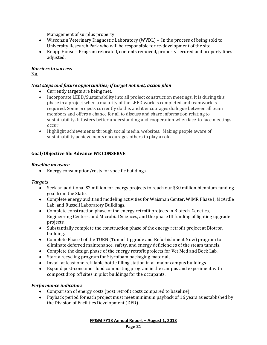Management of surplus property:

- Wisconsin Veterinary Diagnostic Laboratory (WVDL) In the process of being sold to University Research Park who will be responsible for re-development of the site.
- Knapp House Program relocated, contents removed, property secured and property lines adjusted.

#### *Barriers to success*

NA

# *Next steps and future opportunities; if target not met, action plan*

- Currently targets are being met.
- Incorporate LEED/Sustainability into all project construction meetings. It is during this phase in a project when a majority of the LEED work is completed and teamwork is required. Some projects currently do this and it encourages dialogue between all team members and offers a chance for all to discuss and share information relating to sustainability. It fosters better understanding and cooperation when face-to-face meetings occur.
- Highlight achievements through social media, websites. Making people aware of sustainability achievements encourages others to play a role.

#### **Goal/Objective 5b: Advance WE CONSERVE**

#### *Baseline measure*

Energy consumption/costs for specific buildings.

#### *Targets*

- Seek an additional \$2 million for energy projects to reach our \$30 million biennium funding goal from the State.
- Complete energy audit and modeling activities for Waisman Center, WIMR Phase I, McArdle Lab, and Russell Laboratory Buildings.
- Complete construction phase of the energy retrofit projects in Biotech-Genetics, Engineering Centers, and Microbial Sciences, and the phase III funding of lighting upgrade projects.
- Substantially complete the construction phase of the energy retrofit project at Biotron building.
- Complete Phase I of the TURN (Tunnel Upgrade and Refurbishment Now) program to eliminate deferred maintenance, safety, and energy deficiencies of the steam tunnels.
- Complete the design phase of the energy retrofit projects for Vet Med and Bock Lab.
- Start a recycling program for Styrofoam packaging materials.
- Install at least one refillable bottle filling station in all major campus buildings
- Expand post-consumer food composting program in the campus and experiment with compost drop off sites in pilot buildings for the occupants.

#### *Performance indicators*

- Comparison of energy costs (post retrofit costs compared to baseline).
- Payback period for each project must meet minimum payback of 16 years as established by the Division of Facilities Development (DFD).

**FP&M FY13 Annual Report – August 1, 2013 Page 21**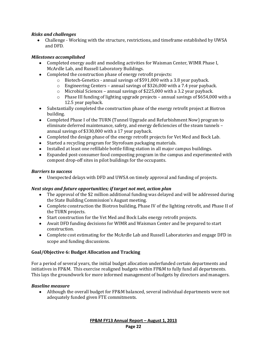# *Risks and challenges*

 $\bullet$ Challenge - Working with the structure, restrictions, and timeframe established by UWSA and DFD.

# *Milestones accomplished*

- Completed energy audit and modeling activities for Waisman Center, WIMR Phase I, McArdle Lab, and Russell Laboratory Buildings.
- Completed the construction phase of energy retrofit projects:
	- o Biotech-Genetics annual savings of \$591,000 with a 3.8 year payback.
	- o Engineering Centers annual savings of \$326,000 with a 7.4 year payback.
	- o Microbial Sciences annual savings of \$225,000 with a 3.2 year payback.
	- $\circ$  Phase III funding of lighting upgrade projects annual savings of \$654,000 with a 12.5 year payback.
- Substantially completed the construction phase of the energy retrofit project at Biotron building.
- Completed Phase I of the TURN (Tunnel Upgrade and Refurbishment Now) program to eliminate deferred maintenance, safety, and energy deficiencies of the steam tunnels – annual savings of \$330,000 with a 17 year payback.
- Completed the design phase of the energy retrofit projects for Vet Med and Bock Lab.
- Started a recycling program for Styrofoam packaging materials.
- Installed at least one refillable bottle filling station in all major campus buildings.
- Expanded post-consumer food composting program in the campus and experimented with compost drop-off sites in pilot buildings for the occupants.

#### *Barriers to success*

Unexpected delays with DFD and UWSA on timely approval and funding of projects.  $\bullet$ 

#### *Next steps and future opportunities; if target not met, action plan*

- The approval of the \$2 million additional funding was delayed and will be addressed during the State Building Commission's August meeting.
- Complete construction the Biotron building, Phase IV of the lighting retrofit, and Phase II of the TURN projects.
- Start construction for the Vet Med and Bock Labs energy retrofit projects.
- Await DFD funding decisions for WIMR and Waisman Center and be prepared to start construction.
- Complete cost estimating for the McArdle Lab and Russell Laboratories and engage DFD in scope and funding discussions.

#### **Goal/Objective 6: Budget Allocation and Tracking**

For a period of several years, the initial budget allocation underfunded certain departments and initiatives in FP&M. This exercise realigned budgets within FP&M to fully fund all departments. This lays the groundwork for more informed management of budgets by directors and managers.

#### *Baseline measure*

Although the overall budget for FP&M balanced, several individual departments were not adequately funded given FTE commitments.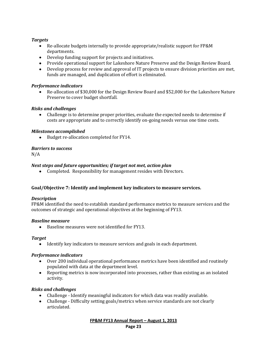# *Targets*

- Re-allocate budgets internally to provide appropriate/realistic support for FP&M departments.
- Develop funding support for projects and initiatives.
- Provide operational support for Lakeshore Nature Preserve and the Design Review Board.
- Develop process for review and approval of IT projects to ensure division priorities are met, funds are managed, and duplication of effort is eliminated.

# *Performance indicators*

Re-allocation of \$30,000 for the Design Review Board and \$52,000 for the Lakeshore Nature Preserve to cover budget shortfall.

# *Risks and challenges*

Challenge is to determine proper priorities, evaluate the expected needs to determine if costs are appropriate and to correctly identify on-going needs versus one time costs.

# *Milestones accomplished*

Budget re-allocation completed for FY14.  $\bullet$ 

# *Barriers to success*

N/A

# *Next steps and future opportunities; if target not met, action plan*

Completed. Responsibility for management resides with Directors.

#### **Goal/Objective 7: Identify and implement key indicators to measure services.**

#### *Description*

FP&M identified the need to establish standard performance metrics to measure services and the outcomes of strategic and operational objectives at the beginning of FY13.

#### *Baseline measure*

Baseline measures were not identified for FY13.

#### *Target*

Identify key indicators to measure services and goals in each department.

#### *Performance indicators*

- Over 200 individual operational performance metrics have been identified and routinely populated with data at the department level.
- Reporting metrics is now incorporated into processes, rather than existing as an isolated activity.

#### *Risks and challenges*

- Challenge Identify meaningful indicators for which data was readily available.
- Challenge Difficulty setting goals/metrics when service standards are not clearly articulated.

**FP&M FY13 Annual Report – August 1, 2013 Page 23**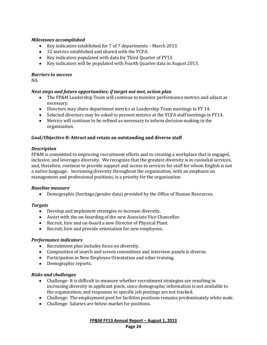#### *Milestones accomplished*

- Key indicators established for 7 of 7 departments March 2013.
- 32 metrics established and shared with the VCFA.
- Key indicators populated with data for Third Quarter of FY13.
- Key indicators will be populated with Fourth Quarter data in August 2013.

#### *Barriers to success*

NA

#### *Next steps and future opportunities; if target not met, action plan*

- The FP&M Leadership Team will continue to monitor performance metrics and adjust as necessary.
- Directors may share department metrics at Leadership Team meetings in FY 14.
- Selected directors may be asked to present metrics at the VCFA staff meetings in FY14.
- Metrics will continue to be refined as necessary to inform decision-making in the organization.

#### **Goal/Objective 8: Attract and retain an outstanding and diverse staff**

#### *Description*

FP&M is committed to improving recruitment efforts and to creating a workplace that is engaged, inclusive, and leverages diversity. We recognize that the greatest diversity is in custodial services, and, therefore, continue to provide support and access to services for staff for whom English is not a native language. Increasing diversity throughout the organization, with an emphasis on management and professional positions, is a priority for the organization.

#### *Baseline measure*

Demographic (heritage/gender data) provided by the Office of Human Resources.

#### *Targets*

- Develop and implement strategies to increase diversity.
- Assist with the on-boarding of the new Associate Vice Chancellor.
- Recruit, hire and on-board a new Director of Physical Plant.
- Recruit, hire and provide orientation for new employees.

#### *Performance indicators*

- Recruitment plan includes focus on diversity.
- Composition of search and screen committees and interview panels is diverse.
- Participation in New Employee Orientation and other training.
- Demographic reports.

#### *Risks and challenges*

- Challenge- It is difficult to measure whether recruitment strategies are resulting in increasing diversity in applicant pools, since demographic information is not available to the organization; and responses to specific job postings are not tracked.
- Challenge- The employment pool for facilities positions remains predominately white male.
- Challenge- Salaries are below market for positions.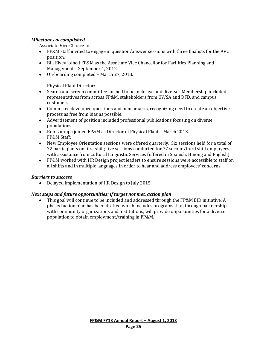# *Milestones accomplished*

Associate Vice Chancellor:

- FP&M staff invited to engage in question/answer sessions with three finalists for the AVC position.
- Bill Elvey joined FP&M as the Associate Vice Chancellor for Facilities Planning and Management – September 1, 2012.
- On-boarding completed March 27, 2013.

Physical Plant Director:

- Search and screen committee formed to be inclusive and diverse. Membership included representatives from across FP&M, stakeholders from UWSA and DFD, and campus customers.
- Committee developed questions and benchmarks, recognizing need to create an objective process as free from bias as possible.
- Advertisement of position included professional publications focusing on diverse populations.
- Rob Lamppa joined FP&M as Director of Physical Plant March 2013. FP&M Staff:
- New Employee Orientation sessions were offered quarterly. Six sessions held for a total of 72 participants on first shift; five sessions conducted for 77 second/third shift employees with assistance from Cultural Linguistic Services (offered in Spanish, Hmong and English).
- FP&M worked with HR Design project leaders to ensure sessions were accessible to staff on all shifts and in multiple languages in order to hear and address employees' concerns.

#### *Barriers to success*

 $\bullet$ Delayed implementation of HR Design to July 2015.

#### *Next steps and future opportunities; if target not met, action plan*

This goal will continue to be included and addressed through the FP&M EID initiative. A phased action plan has been drafted which includes programs that, through partnerships with community organizations and institutions, will provide opportunities for a diverse population to obtain employment/training in FP&M.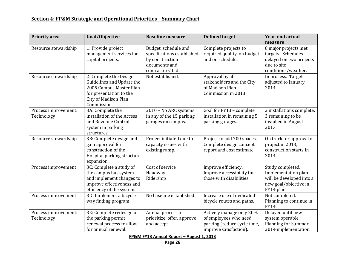# **Section 4: FP&M Strategic and Operational Priorities – Summary Chart**

| <b>Priority area</b>               | Goal/Objective                                                                                                                                         | <b>Baseline measure</b>                                                                                     | <b>Defined target</b>                                                                                      | <b>Year-end actual</b><br>measure                                                                           |
|------------------------------------|--------------------------------------------------------------------------------------------------------------------------------------------------------|-------------------------------------------------------------------------------------------------------------|------------------------------------------------------------------------------------------------------------|-------------------------------------------------------------------------------------------------------------|
| Resource stewardship               | 1: Provide project<br>management services for<br>capital projects.                                                                                     | Budget, schedule and<br>specifications established<br>by construction<br>documents and<br>contractors' bid. | Complete projects to<br>required quality, on budget<br>and on schedule.                                    | 8 major projects met<br>targets. Schedules<br>delayed on two projects<br>due to site<br>conditions/weather. |
| Resource stewardship               | 2: Complete the Design<br>Guidelines and Update the<br>2005 Campus Master Plan<br>for presentation to the<br><b>City of Madison Plan</b><br>Commission | Not established.                                                                                            | Approval by all<br>stakeholders and the City<br>of Madison Plan<br>Commission in 2013.                     | In process. Target<br>adjusted to January<br>2014.                                                          |
| Process improvement:<br>Technology | 3A: Complete the<br>installation of the Access<br>and Revenue Control<br>system in parking<br>structures.                                              | 2010 - No ARC systems<br>in any of the 15 parking<br>garages on campus.                                     | Goal for FY13 - complete<br>installation in remaining 5<br>parking garages.                                | 2 installations complete.<br>3 remaining to be<br>installed in August<br>2013.                              |
| Resource stewardship               | 3B: Complete design and<br>gain approval for<br>construction of the<br>Hospital parking structure<br>expansion.                                        | Project initiated due to<br>capacity issues with<br>existing ramp.                                          | Project to add 700 spaces.<br>Complete design concept<br>report and cost estimate.                         | On track for approval of<br>project in 2013,<br>construction starts in<br>2014.                             |
| Process improvement                | 3C: Complete a study of<br>the campus bus system<br>and implement changes to<br>improve effectiveness and<br>efficiency of the system.                 | Cost of service<br>Headway<br>Ridership                                                                     | Improve efficiency.<br>Improve accessibility for<br>those with disabilities.                               | Study completed.<br>Implementation plan<br>will be developed into a<br>new goal/objective in<br>FY14 plan.  |
| Process improvement                | 3D: Implement a bicycle<br>way finding program.                                                                                                        | No baseline established.                                                                                    | Increase use of dedicated<br>bicycle routes and paths.                                                     | Not completed.<br>Planning to continue in<br>FY14.                                                          |
| Process improvement:<br>Technology | 3E: Complete redesign of<br>the parking permit<br>renewal process to allow<br>for annual renewal.                                                      | Annual process to<br>prioritize, offer, approve<br>and accept                                               | Actively manage only 20%<br>of employees who need<br>parking (reduce cycle time,<br>improve satisfaction). | Delayed until new<br>system operable.<br><b>Planning for Summer</b><br>2014 implementation.                 |